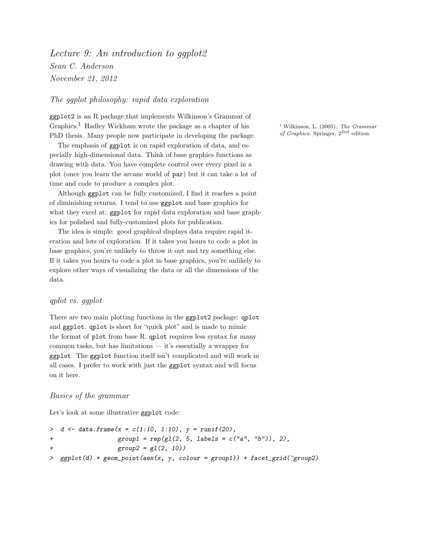Lecture 9: An introduction to gaplot2 Sean C. Anderson November 21, 2012

## The ggplot philosophy: rapid data exploration

ggplot2 is an R package that implements Wilkinson's Grammar of Graphics.<sup>1</sup> Hadley Wickham wrote the package as a chapter of his  $\frac{1 \text{ Wilkinson}}{1 \text{ Wilkinson}}$ , L. (2005). The Grammar PhD thesis Many people now participate in developing the package of Graphics. Springer,  $2^{2nd}$  edition. PhD thesis. Many people now participate in developing the package.

The emphasis of ggplot is on rapid exploration of data, and especially high-dimensional data. Think of base graphics functions as drawing with data. You have complete control over every pixel in a plot (once you learn the arcane world of par) but it can take a lot of time and code to produce a complex plot.

Although ggplot can be fully customized, I find it reaches a point of diminishing returns. I tend to use ggplot and base graphics for what they excel at: ggplot for rapid data exploration and base graphics for polished and fully-customized plots for publication.

The idea is simple: good graphical displays data require rapid iteration and lots of exploration. If it takes you hours to code a plot in base graphics, you're unlikely to throw it out and try something else. If it takes you hours to code a plot in base graphics, you're unlikely to explore other ways of visualizing the data or all the dimensions of the data.

# qplot vs. ggplot

There are two main plotting functions in the ggplot2 package: qplot and ggplot. qplot is short for "quick plot" and is made to mimic the format of plot from base R. qplot requires less syntax for many common tasks, but has limitations — it's essentially a wrapper for ggplot. The ggplot function itself isn't complicated and will work in all cases. I prefer to work with just the ggplot syntax and will focus on it here.

## Basics of the grammar

Let's look at some illustrative ggplot code:

```
> d \leftarrow data-frame(x = c(1:10, 1:10), y = runif(20),+ group1 = rep(gl(2, 5, labels = c("a", "b")), 2),
               group2 = g1(2, 10)> gpplot(d) + geom\_point(aes(x, y, colour = group1)) + facet\_grid("group2)
```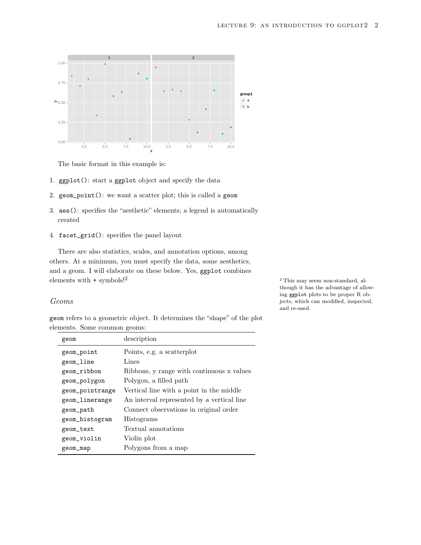

The basic format in this example is:

- 1. ggplot(): start a ggplot object and specify the data
- 2. geom\_point(): we want a scatter plot; this is called a geom
- 3. aes(): specifies the "aesthetic" elements; a legend is automatically created
- 4. facet\_grid(): specifies the panel layout

There are also statistics, scales, and annotation options, among others. At a minimum, you must specify the data, some aesthetics, and a geom. I will elaborate on these below. Yes, ggplot combines elements with  $+$  symbols!<sup>2</sup>  $\qquad$   $\qquad$   $\qquad$   $\qquad$   $\qquad$   $\qquad$   $\qquad$   $\qquad$   $\qquad$   $\qquad$   $\qquad$   $\qquad$   $\qquad$   $\qquad$   $\qquad$   $\qquad$   $\qquad$   $\qquad$   $\qquad$   $\qquad$   $\qquad$   $\qquad$   $\qquad$   $\qquad$   $\qquad$   $\qquad$   $\qquad$   $\qquad$   $\qquad$   $\qquad$   $\qquad$   $\qquad$ 

#### Geoms

geom refers to a geometric object. It determines the "shape" of the plot elements. Some common geoms:

| geom            | description                                |
|-----------------|--------------------------------------------|
| geom_point      | Points, e.g. a scatterplot                 |
| geom_line       | Lines                                      |
| geom_ribbon     | Ribbons, y range with continuous x values  |
| geom_polygon    | Polygon, a filled path                     |
| geom_pointrange | Vertical line with a point in the middle   |
| geom_linerange  | An interval represented by a vertical line |
| geom_path       | Connect observations in original order     |
| geom_histogram  | Histograms                                 |
| geom_text       | Textual annotations                        |
| geom_violin     | Violin plot                                |
| geom_map        | Polygons from a map                        |

though it has the advantage of allowing ggplot plots to be proper R objects, which can modified, inspected, and re-used.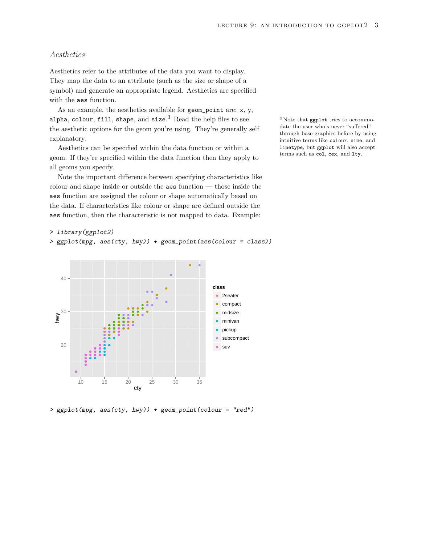# Aesthetics

Aesthetics refer to the attributes of the data you want to display. They map the data to an attribute (such as the size or shape of a symbol) and generate an appropriate legend. Aesthetics are specified with the aes function.

As an example, the aesthetics available for geom\_point are: x, y, alpha, colour, fill, shape, and size.<sup>3</sup> Read the help files to see the aesthetic options for the geom you're using. They're generally self explanatory.

Aesthetics can be specified within the data function or within a geom. If they're specified within the data function then they apply to all geoms you specify.

Note the important difference between specifying characteristics like colour and shape inside or outside the aes function — those inside the aes function are assigned the colour or shape automatically based on the data. If characteristics like colour or shape are defined outside the aes function, then the characteristic is not mapped to data. Example:

```
> library(ggplot2)
```

```
> ggplot(mpg, aes(cty, hwy)) + geom_point(aes(colour = class))
```


> ggplot(mpg, aes(cty, hwy)) + geom\_point(colour = "red")

 $^3$  Note that ggplot tries to accommodate the user who's never "suffered" through base graphics before by using intuitive terms like colour, size, and linetype, but ggplot will also accept terms such as col, cex, and lty.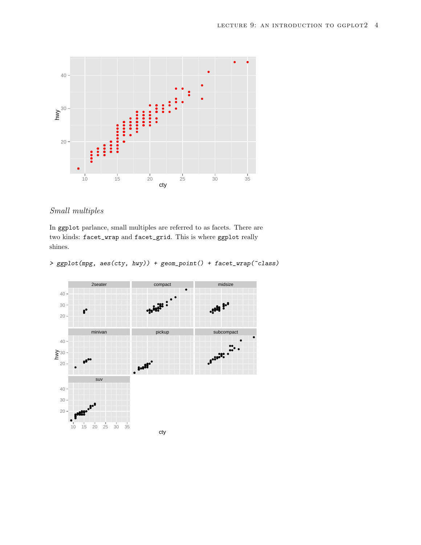

# Small multiples

In ggplot parlance, small multiples are referred to as facets. There are two kinds: facet\_wrap and facet\_grid. This is where ggplot really shines.

```
> ggplot(mpg, aes(cty, hwy)) + geom_point() + facet_wrap(~class)
```
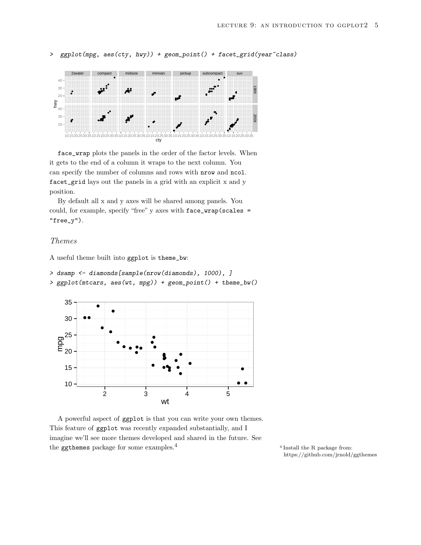```
> ggplot(mpg, aes(cty, hwy)) + geom_point() + facet_grid(year~class)
```


face\_wrap plots the panels in the order of the factor levels. When it gets to the end of a column it wraps to the next column. You can specify the number of columns and rows with nrow and ncol. facet\_grid lays out the panels in a grid with an explicit x and y position.

By default all x and y axes will be shared among panels. You could, for example, specify "free" y axes with face\_wrap(scales = "free\_y").

## Themes

A useful theme built into ggplot is theme\_bw:

- > dsamp <- diamonds[sample(nrow(diamonds), 1000), ]
- > ggplot(mtcars, aes(wt, mpg)) + geom\_point() + theme\_bw()



A powerful aspect of ggplot is that you can write your own themes. This feature of ggplot was recently expanded substantially, and I imagine we'll see more themes developed and shared in the future. See the ggthemes package for some examples. $4$ 

 $4$  Install the R package from: <https://github.com/jrnold/ggthemes>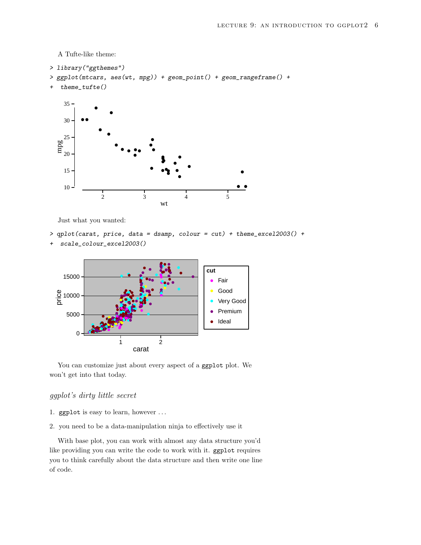A Tufte-like theme:

> library("ggthemes")

```
> ggplot(mtcars, aes(wt, mpg)) + geom_point() + geom_rangeframe() +
```
+ theme\_tufte()



Just what you wanted:

> qplot(carat, price, data = dsamp, colour = cut) + theme\_excel2003() +

```
+ scale_colour_excel2003()
```


You can customize just about every aspect of a ggplot plot. We won't get into that today.

# ggplot's dirty little secret

- 1. ggplot is easy to learn, however . . .
- 2. you need to be a data-manipulation ninja to effectively use it

With base plot, you can work with almost any data structure you'd like providing you can write the code to work with it. ggplot requires you to think carefully about the data structure and then write one line of code.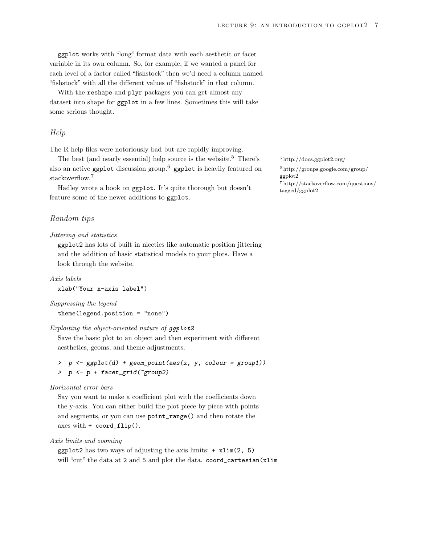ggplot works with "long" format data with each aesthetic or facet variable in its own column. So, for example, if we wanted a panel for each level of a factor called "fishstock" then we'd need a column named "fishstock" with all the different values of "fishstock" in that column.

With the reshape and plyr packages you can get almost any dataset into shape for ggplot in a few lines. Sometimes this will take some serious thought.

## Help

The R help files were notoriously bad but are rapidly improving.

The best (and nearly essential) help source is the website.<sup>5</sup> There's  $5 \text{http://docs.ggplot2.org/})$  $5 \text{http://docs.ggplot2.org/})$  $5 \text{http://docs.ggplot2.org/})$ also an active ggplot discussion group.<sup>6</sup> ggplot is heavily featured on  $\frac{6 \text{ http://groups.google.com/group/} \text{stackoverflow}^7$  $\frac{6 \text{ http://groups.google.com/group/} \text{stackoverflow}^7$  $\frac{6 \text{ http://groups.google.com/group/} \text{stackoverflow}^7$ stackoverflow.<sup>7</sup> [ggplot2](http://groups.google.com/group/ggplot2)<br>Thttp://stackoverflow.com/questions/

Hadley wrote a book on  $ggplot.$  It's quite thorough but doesn't [tagged/ggplot2](http://stackoverflow.com/questions/tagged/ggplot2) feature some of the newer additions to ggplot.

## Random tips

#### Jittering and statistics

ggplot2 has lots of built in niceties like automatic position jittering and the addition of basic statistical models to your plots. Have a look through the website.

```
Axis labels
xlab("Your x-axis label")
```
#### Suppressing the legend

theme(legend.position = "none")

#### Exploiting the object-oriented nature of  $qqplot2$

Save the basic plot to an object and then experiment with different aesthetics, geoms, and theme adjustments.

> p <- ggplot(d) + geom\_point(aes(x, y, colour = group1)) > p <- p + facet\_grid(~group2)

#### Horizontal error bars

Say you want to make a coefficient plot with the coefficients down the y-axis. You can either build the plot piece by piece with points and segments, or you can use point\_range() and then rotate the axes with + coord\_flip().

Axis limits and zooming

 $ggplot2$  has two ways of adjusting the axis limits:  $+ xlim(2, 5)$ will "cut" the data at 2 and 5 and plot the data. coord\_cartesian(xlim